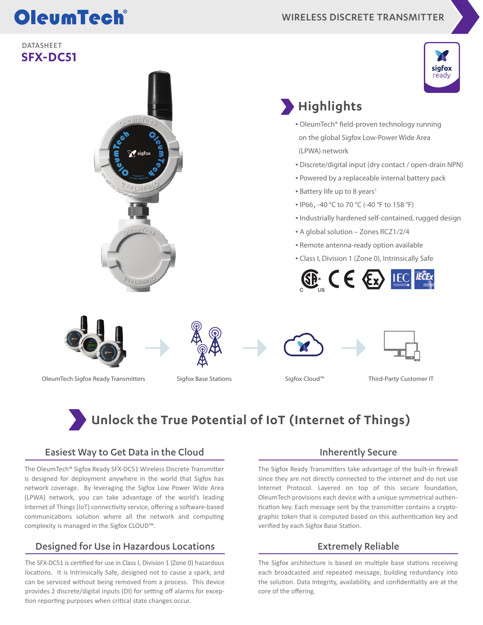# OleumTech®

#### DATASHEET **SFX-DC51**



### **Highlights**

- OleumTech® field-proven technology running on the global Sigfox Low-Power Wide Area (LPWA) network
- Discrete/digital input (dry contact / open-drain NPN)
- Powered by a replaceable internal battery pack
- **Battery life up to 8 years<sup>1</sup>**
- IP66, -40 °C to 70 °C (-40 °F to 158 °F)
- Industrially hardened self-contained, rugged design
- A global solution Zones RCZ1/2/4
- **Remote antenna-ready option available**
- Class I, Division 1 (Zone 0), Intrinsically Safe





OleumTech Sigfox Ready Transmitters Sigfox Base Stations Sigfox Cloud™ Third-Party Customer IT

### **Unlock the True Potential of IoT (Internet of Things)**

#### Easiest Way to Get Data in the Cloud

The OleumTech® Sigfox Ready SFX-DC51 Wireless Discrete Transmitter is designed for deployment anywhere in the world that Sigfox has network coverage. By leveraging the Sigfox Low Power Wide Area (LPWA) network, you can take advantage of the world's leading Internet of Things (IoT) connectivity service, offering a software-based communications solution where all the network and computing complexity is managed in the Sigfox CLOUD™.

#### Designed for Use in Hazardous Locations

The SFX-DC51 is certified for use in Class I, Division 1 (Zone 0) hazardous locations. It is Intrinsically Safe, designed not to cause a spark, and can be serviced without being removed from a process. This device provides 2 discrete/digital inputs (DI) for setting off alarms for exception reporting purposes when critical state changes occur.

#### Inherently Secure

The Sigfox Ready Transmitters take advantage of the built-in firewall since they are not directly connected to the internet and do not use Internet Protocol. Layered on top of this secure foundation, OleumTech provisions each device with a unique symmetrical authentication key. Each message sent by the transmitter contains a cryptographic token that is computed based on this authentication key and verified by each Sigfox Base Station.

#### Extremely Reliable

The Sigfox architecture is based on multiple base stations receiving each broadcasted and repeated message, building redundancy into the solution. Data Integrity, availability, and confidentiality are at the core of the offering.